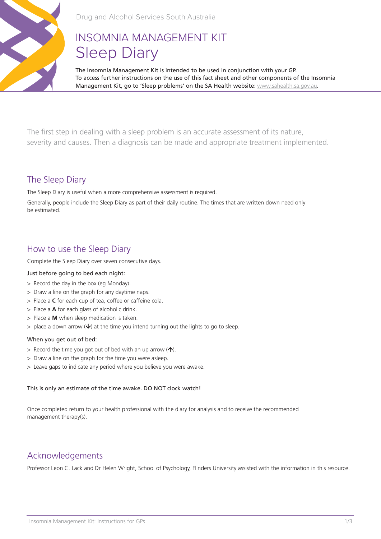

# INSOMNIA MANAGEMENT KIT Sleep Diary

The Insomnia Management Kit is intended to be used in conjunction with your GP. To access further instructions on the use of this fact sheet and other components of the Insomnia Management Kit, go to 'Sleep problems' on the SA Health website: www.sahealth.sa.gov.au.

The first step in dealing with a sleep problem is an accurate assessment of its nature, severity and causes. Then a diagnosis can be made and appropriate treatment implemented.

### The Sleep Diary

The Sleep Diary is useful when a more comprehensive assessment is required.

Generally, people include the Sleep Diary as part of their daily routine. The times that are written down need only be estimated.

## How to use the Sleep Diary

Complete the Sleep Diary over seven consecutive days.

#### Just before going to bed each night:

- > Record the day in the box (eg Monday).
- > Draw a line on the graph for any daytime naps.
- > Place a **C** for each cup of tea, coffee or caffeine cola.
- > Place a **A** for each glass of alcoholic drink.
- > Place a **M** when sleep medication is taken.
- $>$  place a down arrow ( $\vee$ ) at the time you intend turning out the lights to go to sleep.

#### When you get out of bed:

- $>$  Record the time you got out of bed with an up arrow  $(\uparrow).$
- > Draw a line on the graph for the time you were asleep.
- > Leave gaps to indicate any period where you believe you were awake.

#### This is only an estimate of the time awake. DO NOT clock watch!

Once completed return to your health professional with the diary for analysis and to receive the recommended management therapy(s).

# Acknowledgements

Professor Leon C. Lack and Dr Helen Wright, School of Psychology, Flinders University assisted with the information in this resource.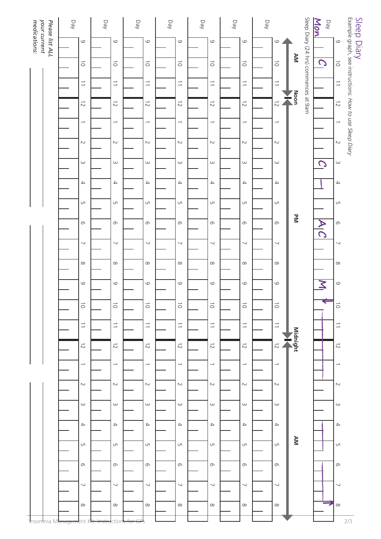|                                                 | Day                         |  | Day                          |  | Day                            |  | Day                         |  | Day                            |  | Day                         |  | Day                            |              |                                       | Mon<br>Day              |                          |                                                         |
|-------------------------------------------------|-----------------------------|--|------------------------------|--|--------------------------------|--|-----------------------------|--|--------------------------------|--|-----------------------------|--|--------------------------------|--------------|---------------------------------------|-------------------------|--------------------------|---------------------------------------------------------|
| your current<br>Please list ALL<br>medications: | 6                           |  | $\mathsf{\underline{\circ}}$ |  | $\circ$                        |  | $\circ$                     |  | $\mathsf{\underline{\circ}}$   |  | $\circ$                     |  | $\circ$                        |              |                                       |                         | $\circ$                  | Sleep Diary                                             |
|                                                 | $\vec{o}$                   |  | $\overrightarrow{\bigcirc}$  |  | $\overrightarrow{O}$           |  | $\overrightarrow{\bigcirc}$ |  | $\overrightarrow{\bigcirc}$    |  | $\overrightarrow{O}$        |  | $\overrightarrow{\bigcirc}$    | AM           | Sleep Diary (24 hrs) commences at 9am | $\mathcal{C}$           | $\vec{\circ}$            | Example graph, see instructions: How to use Sleep Diary |
|                                                 | $\equiv$                    |  | $\overline{\phantom{a}}$     |  | $\overline{\phantom{a}}$       |  | $\overline{\phantom{a}}$    |  | $\overline{\phantom{a}}$       |  | $\overline{\phantom{a}}$    |  | $\overrightarrow{\phantom{a}}$ |              |                                       |                         | $\overline{\phantom{a}}$ |                                                         |
|                                                 | $\overrightarrow{C}$        |  | $\overrightarrow{C}$         |  | $\overrightarrow{C}$           |  | $\overrightarrow{C}$        |  | $\vec{z}$                      |  | $\overrightarrow{C}$        |  | $\vec{z}$                      | Noon<br>İ    |                                       |                         | $\overrightarrow{C}$     |                                                         |
|                                                 | $\rightarrow$               |  | $\rightarrow$                |  | $\overline{\phantom{a}}$       |  | $\overline{\phantom{a}}$    |  | $\overline{\phantom{a}}$       |  | $\overline{\phantom{a}}$    |  | $\rightarrow$                  |              |                                       |                         | $\rightarrow$            |                                                         |
|                                                 | $\sim$                      |  | $\sim$                       |  | $\sim$                         |  | $\sim$                      |  | $\sim$                         |  | $\sim$                      |  | $\sim$                         |              |                                       |                         | $\sim$                   |                                                         |
|                                                 | $\omega$                    |  | $\omega$                     |  | $\omega$                       |  | $\omega$                    |  | $\omega$                       |  | $\omega$                    |  | $\omega$                       |              |                                       | $\overline{O}$          | $\omega$                 |                                                         |
|                                                 | $\rightarrow$               |  | $\rightarrow$                |  | $\rightarrow$                  |  | $\rightarrow$               |  | $\rightarrow$                  |  | $\rightarrow$               |  | $\rightarrow$                  |              |                                       |                         | $\rightarrow$            |                                                         |
|                                                 | UП                          |  | UП                           |  | UT                             |  | UП                          |  | UП                             |  | UП                          |  | UП                             |              |                                       |                         | U                        |                                                         |
|                                                 | G                           |  | $\mathbb O$                  |  | $\mathbb O$                    |  | $\sigma$                    |  | $\sigma$                       |  | G                           |  | G                              | $\mathbf{z}$ |                                       | $\frac{\lambda}{C}$     | $\circ$                  |                                                         |
|                                                 | $\overline{\phantom{0}}$    |  | $\overline{\phantom{0}}$     |  | $\overline{\phantom{0}}$       |  | $\overline{\phantom{a}}$    |  | ┙                              |  | $\overline{\phantom{0}}$    |  | $\overline{\phantom{0}}$       |              |                                       |                         | $\overline{\phantom{0}}$ |                                                         |
|                                                 | $\infty$                    |  | $\infty$                     |  | $\infty$                       |  | $\infty$                    |  | $\infty$                       |  | $\infty$                    |  | $\infty$                       |              |                                       |                         | $\infty$                 |                                                         |
|                                                 | 6                           |  | $\circ$                      |  | $\circ$                        |  | $\circ$                     |  | $\circ$                        |  | $\circ$                     |  | $\circ$                        |              |                                       | $\overline{\mathsf{z}}$ | $\circ$                  |                                                         |
|                                                 | $\overrightarrow{\bigcirc}$ |  | $\overrightarrow{\bigcirc}$  |  | $\overrightarrow{\bigcirc}$    |  | $\overrightarrow{\bigcirc}$ |  | $\overrightarrow{\bigcirc}$    |  | $\overrightarrow{\bigcirc}$ |  | $\overrightarrow{\bigcirc}$    |              |                                       | ⇐                       | $\vec{\circ}$            |                                                         |
|                                                 | $\overline{\phantom{a}}$    |  | $\overline{\phantom{a}}$     |  | $\overrightarrow{\phantom{a}}$ |  | $\overline{\phantom{a}}$    |  | $\overrightarrow{\phantom{a}}$ |  | $\overline{\phantom{a}}$    |  | $\overrightarrow{\phantom{a}}$ |              |                                       |                         | $\overline{\phantom{a}}$ |                                                         |
|                                                 | $\overrightarrow{C}$        |  | $\overrightarrow{C}$         |  | $\overrightarrow{C}$           |  | $\overrightarrow{C}$        |  | $\overrightarrow{C}$           |  | $\overrightarrow{C}$        |  | $\overrightarrow{C}$           | Midnight     |                                       |                         | $\overrightarrow{C}$     |                                                         |
|                                                 | $\overline{\phantom{a}}$    |  | $\rightarrow$                |  | $\overline{\phantom{a}}$       |  | $\overline{\phantom{a}}$    |  | $\overline{\phantom{a}}$       |  | $\overline{\phantom{a}}$    |  | $\rightarrow$                  |              |                                       |                         | $\overline{\phantom{a}}$ |                                                         |
|                                                 | $\sim$                      |  | $\sim$                       |  | $\sim$                         |  | $\sim$                      |  | $\sim$                         |  | $\sim$                      |  | $\sim$                         |              |                                       |                         | $\sim$                   |                                                         |
|                                                 | $\omega$                    |  | $\omega$                     |  | $\omega$                       |  | $\omega$                    |  | $\omega$                       |  | $\omega$                    |  | $\omega$                       |              |                                       |                         | $\omega$                 |                                                         |
|                                                 | $\rightarrow$               |  | $\rightarrow$                |  | $\rightarrow$                  |  | $\rightarrow$               |  | $\rightarrow$                  |  | $\rightarrow$               |  | $\rightarrow$                  |              |                                       |                         | $\rightarrow$            |                                                         |
|                                                 | UП                          |  | $\cup$                       |  | UT                             |  | UT.                         |  | UT.                            |  | UП                          |  | UΠ                             | AM           |                                       |                         | U                        |                                                         |
|                                                 | G                           |  | $\sigma$                     |  | $\sigma$                       |  | $\sigma$                    |  | $\sigma$                       |  | G                           |  | G                              |              |                                       |                         | G                        |                                                         |
|                                                 | $\overline{\phantom{0}}$    |  | $\overline{\phantom{0}}$     |  | $\overline{\phantom{0}}$       |  | $\overline{\phantom{0}}$    |  | $\overline{\phantom{0}}$       |  | $\overline{\phantom{0}}$    |  | ┙                              |              |                                       |                         | ↘                        |                                                         |
|                                                 | $\infty$                    |  | $\infty$                     |  | $\infty$                       |  | $\infty$                    |  | $\infty$                       |  | $\infty$                    |  | $\infty$                       |              |                                       | Ē.                      | $\infty$                 |                                                         |
| Insomnia M                                      |                             |  | ΠO                           |  |                                |  |                             |  |                                |  |                             |  |                                |              |                                       |                         |                          | 2/3                                                     |